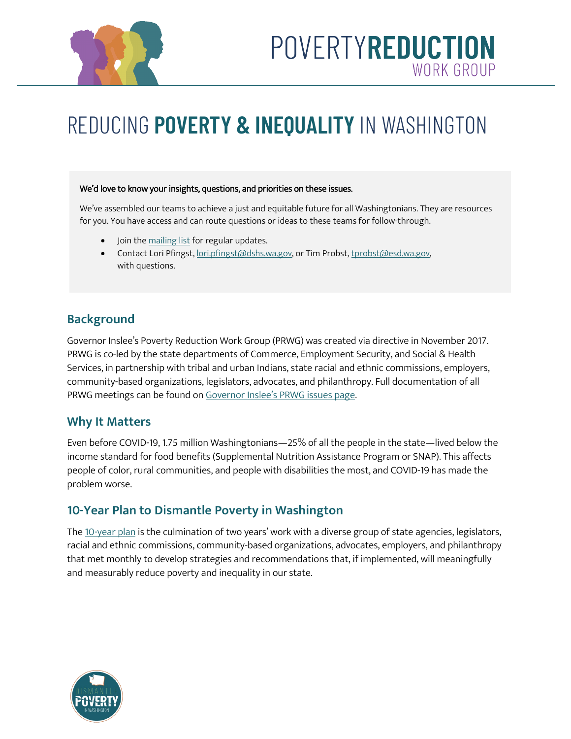

## POVERTYREDUCTION WORK GROUP

# REDUCING **POVERTY & INEQUALITY** IN WASHINGTON

#### We'd love to know your insights, questions, and priorities on these issues.

We've assembled our teams to achieve a just and equitable future for all Washingtonians. They are resources for you. You have access and can route questions or ideas to these teams for follow-through.

- Join th[e mailing list](https://dismantlepovertyinwa.com/contact/) for regular updates.
- Contact Lori Pfingst, [lori.pfingst@dshs.wa.gov,](mailto:lori.pfingst@dshs.wa.gov) or Tim Probst, [tprobst@esd.wa.gov,](mailto:tprobst@esd.wa.gov) with questions.

## **Background**

Governor Inslee's Poverty Reduction Work Group (PRWG) was created via directive in November 2017. PRWG is co-led by the state departments of Commerce, Employment Security, and Social & Health Services, in partnership with tribal and urban Indians, state racial and ethnic commissions, employers, community-based organizations, legislators, advocates, and philanthropy. Full documentation of all PRWG meetings can be found on [Governor Inslee's PRWG issues page.](https://www.governor.wa.gov/issues/issues/health-care-human-services/poverty-reduction-work-group)

### **Why It Matters**

Even before COVID-19, 1.75 million Washingtonians—25% of all the people in the state—lived below the income standard for food benefits (Supplemental Nutrition Assistance Program or SNAP). This affects people of color, rural communities, and people with disabilities the most, and COVID-19 has made the problem worse.

## **10-Year Plan to Dismantle Poverty in Washington**

The [10-year plan](https://dismantlepovertyinwa.com/wp-content/uploads/2020/12/Final10yearPlan.pdf) is the culmination of two years' work with a diverse group of state agencies, legislators, racial and ethnic commissions, community-based organizations, advocates, employers, and philanthropy that met monthly to develop strategies and recommendations that, if implemented, will meaningfully and measurably reduce poverty and inequality in our state.

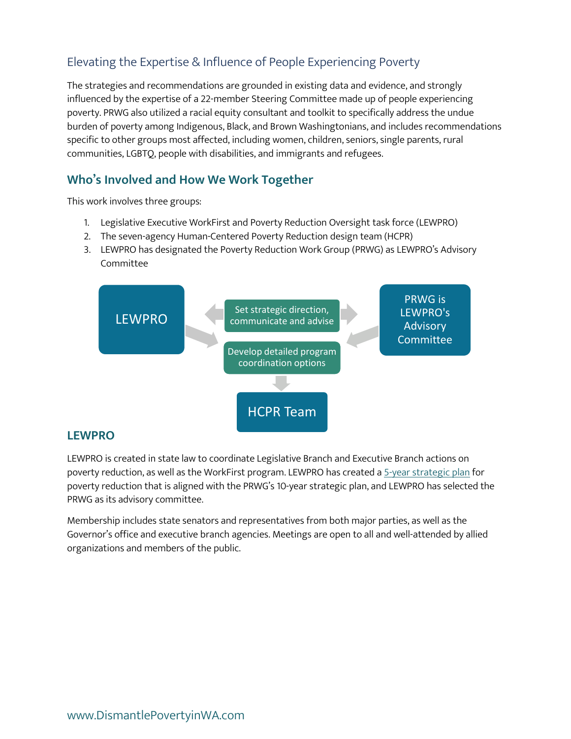## Elevating the Expertise & Influence of People Experiencing Poverty

The strategies and recommendations are grounded in existing data and evidence, and strongly influenced by the expertise of a 22-member Steering Committee made up of people experiencing poverty. PRWG also utilized a racial equity consultant and toolkit to specifically address the undue burden of poverty among Indigenous, Black, and Brown Washingtonians, and includes recommendations specific to other groups most affected, including women, children, seniors, single parents, rural communities, LGBTQ, people with disabilities, and immigrants and refugees.

## **Who's Involved and How We Work Together**

This work involves three groups:

- 1. Legislative Executive WorkFirst and Poverty Reduction Oversight task force (LEWPRO)
- 2. The seven-agency Human-Centered Poverty Reduction design team (HCPR)
- 3. LEWPRO has designated the Poverty Reduction Work Group (PRWG) as LEWPRO's Advisory Committee



#### **LEWPRO**

LEWPRO is created in state law to coordinate Legislative Branch and Executive Branch actions on poverty reduction, as well as the WorkFirst program. LEWPRO has created a [5-year strategic plan](https://www.governor.wa.gov/sites/default/files/proclamations/Five-Year%20Plan%20to%20Reduce%20Intergenerational%20Poverty.pdf) for poverty reduction that is aligned with the PRWG's 10-year strategic plan, and LEWPRO has selected the PRWG as its advisory committee.

Membership includes state senators and representatives from both major parties, as well as the Governor's office and executive branch agencies. Meetings are open to all and well-attended by allied organizations and members of the public.